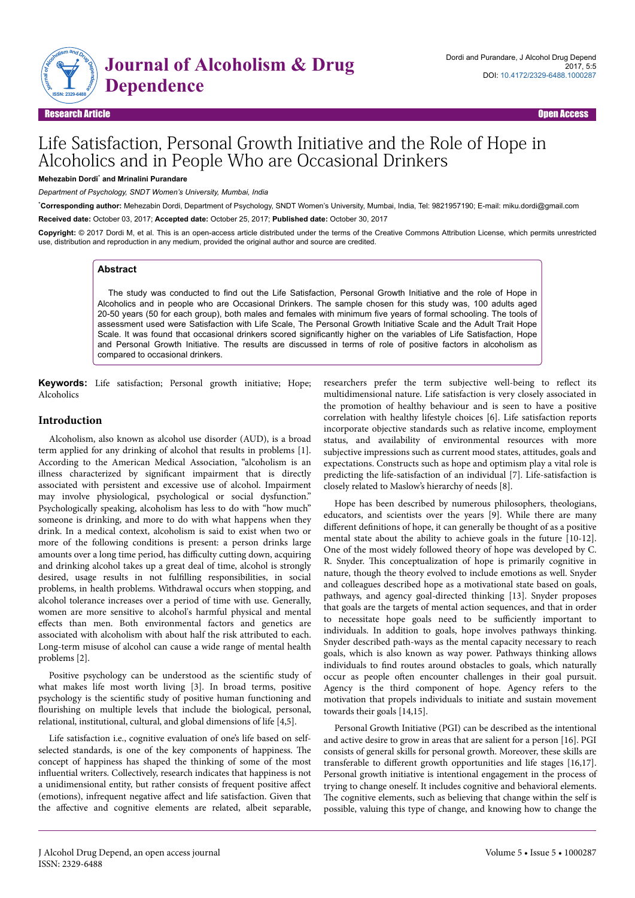

# Life Satisfaction, Personal Growth Initiative and the Role of Hope in Alcoholics and in People Who are Occasional Drinkers

#### **Mehezabin Dordi**\*  **and Mrinalini Purandare**

*Department of Psychology, SNDT Women's University, Mumbai, India*

\***Corresponding author:** Mehezabin Dordi, Department of Psychology, SNDT Women's University, Mumbai, India, Tel: 9821957190; E-mail: miku.dordi@gmail.com **Received date:** October 03, 2017; **Accepted date:** October 25, 2017; **Published date:** October 30, 2017

**Copyright:** © 2017 Dordi M, et al. This is an open-access article distributed under the terms of the Creative Commons Attribution License, which permits unrestricted use, distribution and reproduction in any medium, provided the original author and source are credited.

#### **Abstract**

The study was conducted to find out the Life Satisfaction, Personal Growth Initiative and the role of Hope in Alcoholics and in people who are Occasional Drinkers. The sample chosen for this study was, 100 adults aged 20-50 years (50 for each group), both males and females with minimum five years of formal schooling. The tools of assessment used were Satisfaction with Life Scale, The Personal Growth Initiative Scale and the Adult Trait Hope Scale. It was found that occasional drinkers scored significantly higher on the variables of Life Satisfaction, Hope and Personal Growth Initiative. The results are discussed in terms of role of positive factors in alcoholism as compared to occasional drinkers.

**Keywords:** Life satisfaction; Personal growth initiative; Hope; Alcoholics

#### **Introduction**

Alcoholism, also known as alcohol use disorder (AUD), is a broad term applied for any drinking of alcohol that results in problems [1]. According to the American Medical Association, "alcoholism is an illness characterized by significant impairment that is directly associated with persistent and excessive use of alcohol. Impairment may involve physiological, psychological or social dysfunction." Psychologically speaking, alcoholism has less to do with "how much" someone is drinking, and more to do with what happens when they drink. In a medical context, alcoholism is said to exist when two or more of the following conditions is present: a person drinks large amounts over a long time period, has difficulty cutting down, acquiring and drinking alcohol takes up a great deal of time, alcohol is strongly desired, usage results in not fulfilling responsibilities, in social problems, in health problems. Withdrawal occurs when stopping, and alcohol tolerance increases over a period of time with use. Generally, women are more sensitive to alcohol's harmful physical and mental effects than men. Both environmental factors and genetics are associated with alcoholism with about half the risk attributed to each. Long-term misuse of alcohol can cause a wide range of mental health problems [2].

Positive psychology can be understood as the scientific study of what makes life most worth living [3]. In broad terms, positive psychology is the scientific study of positive human functioning and flourishing on multiple levels that include the biological, personal, relational, institutional, cultural, and global dimensions of life [4,5].

Life satisfaction i.e., cognitive evaluation of one's life based on selfselected standards, is one of the key components of happiness. Нe concept of happiness has shaped the thinking of some of the most influential writers. Collectively, research indicates that happiness is not a unidimensional entity, but rather consists of frequent positive affect (emotions), infrequent negative affect and life satisfaction. Given that the affective and cognitive elements are related, albeit separable, researchers prefer the term subjective well-being to reflect its multidimensional nature. Life satisfaction is very closely associated in the promotion of healthy behaviour and is seen to have a positive correlation with healthy lifestyle choices [6]. Life satisfaction reports incorporate objective standards such as relative income, employment status, and availability of environmental resources with more subjective impressions such as current mood states, attitudes, goals and expectations. Constructs such as hope and optimism play a vital role is predicting the life-satisfaction of an individual [7]. Life-satisfaction is closely related to Maslow's hierarchy of needs [8].

Hope has been described by numerous philosophers, theologians, educators, and scientists over the years [9]. While there are many different definitions of hope, it can generally be thought of as a positive mental state about the ability to achieve goals in the future [10-12]. One of the most widely followed theory of hope was developed by C. R. Snyder. Нis conceptualization of hope is primarily cognitive in nature, though the theory evolved to include emotions as well. Snyder and colleagues described hope as a motivational state based on goals, pathways, and agency goal-directed thinking [13]. Snyder proposes that goals are the targets of mental action sequences, and that in order to necessitate hope goals need to be sufficiently important to individuals. In addition to goals, hope involves pathways thinking. Snyder described path-ways as the mental capacity necessary to reach goals, which is also known as way power. Pathways thinking allows individuals to find routes around obstacles to goals, which naturally occur as people often encounter challenges in their goal pursuit. Agency is the third component of hope. Agency refers to the motivation that propels individuals to initiate and sustain movement towards their goals [14,15].

Personal Growth Initiative (PGI) can be described as the intentional and active desire to grow in areas that are salient for a person [16]. PGI consists of general skills for personal growth. Moreover, these skills are transferable to different growth opportunities and life stages  $[16,17]$ . Personal growth initiative is intentional engagement in the process of trying to change oneself. It includes cognitive and behavioral elements. The cognitive elements, such as believing that change within the self is possible, valuing this type of change, and knowing how to change the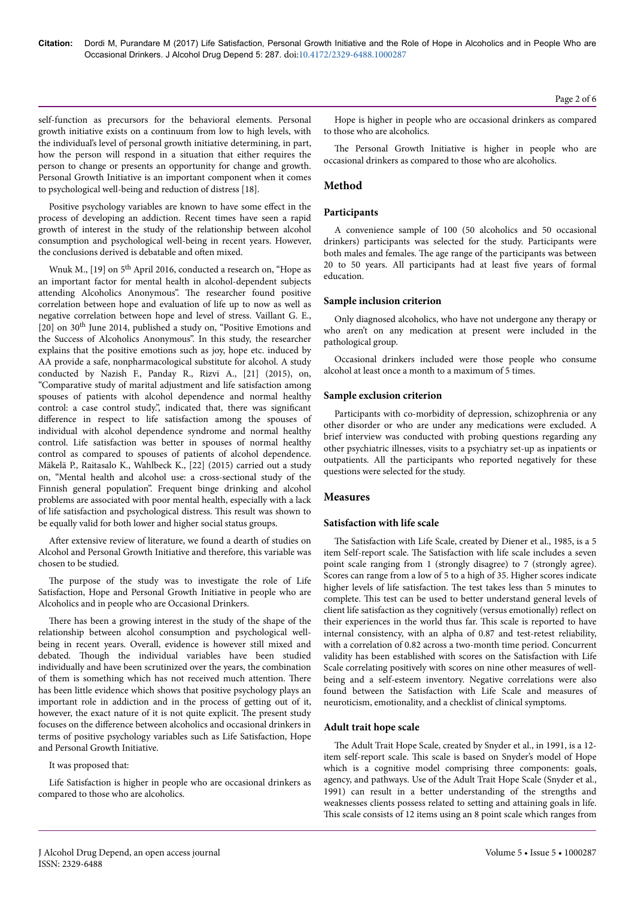self-function as precursors for the behavioral elements. Personal growth initiative exists on a continuum from low to high levels, with the individual's level of personal growth initiative determining, in part, how the person will respond in a situation that either requires the person to change or presents an opportunity for change and growth. Personal Growth Initiative is an important component when it comes to psychological well-being and reduction of distress [18].

Positive psychology variables are known to have some effect in the process of developing an addiction. Recent times have seen a rapid growth of interest in the study of the relationship between alcohol consumption and psychological well-being in recent years. However, the conclusions derived is debatable and often mixed.

Wnuk M., [19] on 5th April 2016, conducted a research on, "Hope as an important factor for mental health in alcohol-dependent subjects attending Alcoholics Anonymous". Нe researcher found positive correlation between hope and evaluation of life up to now as well as negative correlation between hope and level of stress. Vaillant G. E., [20] on 30<sup>th</sup> June 2014, published a study on, "Positive Emotions and the Success of Alcoholics Anonymous". In this study, the researcher explains that the positive emotions such as joy, hope etc. induced by AA provide a safe, nonpharmacological substitute for alcohol. A study conducted by Nazish F., Panday R., Rizvi A., [21] (2015), on, "Comparative study of marital adjustment and life satisfaction among spouses of patients with alcohol dependence and normal healthy control: a case control study.", indicated that, there was significant difference in respect to life satisfaction among the spouses of individual with alcohol dependence syndrome and normal healthy control. Life satisfaction was better in spouses of normal healthy control as compared to spouses of patients of alcohol dependence. Mäkelä P., Raitasalo K., Wahlbeck K., [22] (2015) carried out a study on, "Mental health and alcohol use: a cross-sectional study of the Finnish general population". Frequent binge drinking and alcohol problems are associated with poor mental health, especially with a lack of life satisfaction and psychological distress. Нis result was shown to be equally valid for both lower and higher social status groups.

After extensive review of literature, we found a dearth of studies on Alcohol and Personal Growth Initiative and therefore, this variable was chosen to be studied.

The purpose of the study was to investigate the role of Life Satisfaction, Hope and Personal Growth Initiative in people who are Alcoholics and in people who are Occasional Drinkers.

There has been a growing interest in the study of the shape of the relationship between alcohol consumption and psychological wellbeing in recent years. Overall, evidence is however still mixed and debated. Нough the individual variables have been studied individually and have been scrutinized over the years, the combination of them is something which has not received much attention. Нere has been little evidence which shows that positive psychology plays an important role in addiction and in the process of getting out of it, however, the exact nature of it is not quite explicit. The present study focuses on the difference between alcoholics and occasional drinkers in terms of positive psychology variables such as Life Satisfaction, Hope and Personal Growth Initiative.

It was proposed that:

Life Satisfaction is higher in people who are occasional drinkers as compared to those who are alcoholics.

Hope is higher in people who are occasional drinkers as compared to those who are alcoholics.

The Personal Growth Initiative is higher in people who are occasional drinkers as compared to those who are alcoholics.

# **Method**

#### **Participants**

A convenience sample of 100 (50 alcoholics and 50 occasional drinkers) participants was selected for the study. Participants were both males and females. Нe age range of the participants was between 20 to 50 years. All participants had at least five years of formal education.

#### **Sample inclusion criterion**

Only diagnosed alcoholics, who have not undergone any therapy or who aren't on any medication at present were included in the pathological group.

Occasional drinkers included were those people who consume alcohol at least once a month to a maximum of 5 times.

#### **Sample exclusion criterion**

Participants with co-morbidity of depression, schizophrenia or any other disorder or who are under any medications were excluded. A brief interview was conducted with probing questions regarding any other psychiatric illnesses, visits to a psychiatry set-up as inpatients or outpatients. All the participants who reported negatively for these questions were selected for the study.

## **Measures**

## **Satisfaction with life scale**

The Satisfaction with Life Scale, created by Diener et al., 1985, is a 5 item Self-report scale. Нe Satisfaction with life scale includes a seven point scale ranging from 1 (strongly disagree) to 7 (strongly agree). Scores can range from a low of 5 to a high of 35. Higher scores indicate higher levels of life satisfaction. Нe test takes less than 5 minutes to complete. Нis test can be used to better understand general levels of client life satisfaction as they cognitively (versus emotionally) reflect on their experiences in the world thus far. Нis scale is reported to have internal consistency, with an alpha of 0.87 and test-retest reliability, with a correlation of 0.82 across a two-month time period. Concurrent validity has been established with scores on the Satisfaction with Life Scale correlating positively with scores on nine other measures of wellbeing and a self-esteem inventory. Negative correlations were also found between the Satisfaction with Life Scale and measures of neuroticism, emotionality, and a checklist of clinical symptoms.

#### **Adult trait hope scale**

The Adult Trait Hope Scale, created by Snyder et al., in 1991, is a 12item self-report scale. Нis scale is based on Snyder's model of Hope which is a cognitive model comprising three components: goals, agency, and pathways. Use of the Adult Trait Hope Scale (Snyder et al., 1991) can result in a better understanding of the strengths and weaknesses clients possess related to setting and attaining goals in life. This scale consists of 12 items using an 8 point scale which ranges from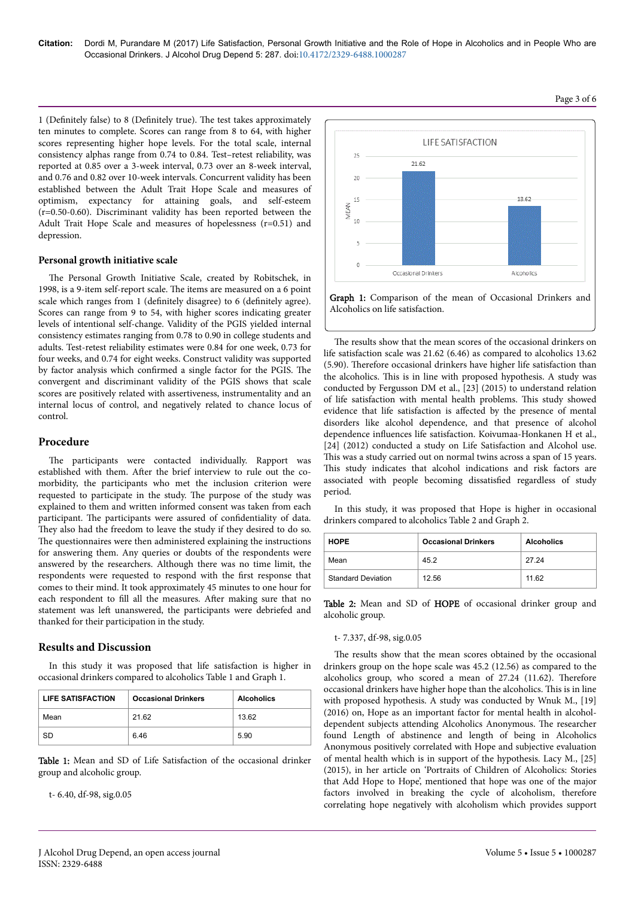1 (Definitely false) to 8 (Definitely true). The test takes approximately ten minutes to complete. Scores can range from 8 to 64, with higher scores representing higher hope levels. For the total scale, internal consistency alphas range from 0.74 to 0.84. Test–retest reliability, was reported at 0.85 over a 3-week interval, 0.73 over an 8-week interval, and 0.76 and 0.82 over 10-week intervals. Concurrent validity has been established between the Adult Trait Hope Scale and measures of optimism, expectancy for attaining goals, and self-esteem (r=0.50-0.60). Discriminant validity has been reported between the Adult Trait Hope Scale and measures of hopelessness (r=0.51) and depression.

#### **Personal growth initiative scale**

The Personal Growth Initiative Scale, created by Robitschek, in 1998, is a 9-item self-report scale. Нe items are measured on a 6 point scale which ranges from 1 (definitely disagree) to 6 (definitely agree). Scores can range from 9 to 54, with higher scores indicating greater levels of intentional self-change. Validity of the PGIS yielded internal consistency estimates ranging from 0.78 to 0.90 in college students and adults. Test-retest reliability estimates were 0.84 for one week, 0.73 for four weeks, and 0.74 for eight weeks. Construct validity was supported by factor analysis which confirmed a single factor for the PGIS. Нe convergent and discriminant validity of the PGIS shows that scale scores are positively related with assertiveness, instrumentality and an internal locus of control, and negatively related to chance locus of control.

#### **Procedure**

The participants were contacted individually. Rapport was established with them. After the brief interview to rule out the comorbidity, the participants who met the inclusion criterion were requested to participate in the study. Нe purpose of the study was explained to them and written informed consent was taken from each participant. The participants were assured of confidentiality of data. They also had the freedom to leave the study if they desired to do so. The questionnaires were then administered explaining the instructions for answering them. Any queries or doubts of the respondents were answered by the researchers. Although there was no time limit, the respondents were requested to respond with the first response that comes to their mind. It took approximately 45 minutes to one hour for each respondent to fill all the measures. After making sure that no statement was left unanswered, the participants were debriefed and thanked for their participation in the study.

## **Results and Discussion**

In this study it was proposed that life satisfaction is higher in occasional drinkers compared to alcoholics Table 1 and Graph 1.

| <b>LIFE SATISFACTION</b> | <b>Occasional Drinkers</b> | <b>Alcoholics</b> |
|--------------------------|----------------------------|-------------------|
| Mean                     | 21.62                      | 13.62             |
| SD.                      | 6.46                       | 5.90              |

Table 1: Mean and SD of Life Satisfaction of the occasional drinker group and alcoholic group.

t- 6.40, df-98, sig.0.05



Graph 1: Comparison of the mean of Occasional Drinkers and Alcoholics on life satisfaction.

The results show that the mean scores of the occasional drinkers on life satisfaction scale was 21.62 (6.46) as compared to alcoholics 13.62 (5.90). Нerefore occasional drinkers have higher life satisfaction than the alcoholics. Нis is in line with proposed hypothesis. A study was conducted by Fergusson DM et al., [23] (2015) to understand relation of life satisfaction with mental health problems. Нis study showed evidence that life satisfaction is affected by the presence of mental disorders like alcohol dependence, and that presence of alcohol dependence influences life satisfaction. Koivumaa-Honkanen H et al., [24] (2012) conducted a study on Life Satisfaction and Alcohol use. This was a study carried out on normal twins across a span of 15 years. This study indicates that alcohol indications and risk factors are associated with people becoming dissatisfied regardless of study period.

In this study, it was proposed that Hope is higher in occasional drinkers compared to alcoholics Table 2 and Graph 2.

| <b>HOPE</b>               | <b>Occasional Drinkers</b> | <b>Alcoholics</b> |
|---------------------------|----------------------------|-------------------|
| Mean                      | 45.2                       | 27 24             |
| <b>Standard Deviation</b> | 12.56                      | 11.62             |

Table 2: Mean and SD of HOPE of occasional drinker group and alcoholic group.

#### t- 7.337, df-98, sig.0.05

The results show that the mean scores obtained by the occasional drinkers group on the hope scale was 45.2 (12.56) as compared to the alcoholics group, who scored a mean of 27.24 (11.62). Нerefore occasional drinkers have higher hope than the alcoholics. Нis is in line with proposed hypothesis. A study was conducted by Wnuk M., [19] (2016) on, Hope as an important factor for mental health in alcoholdependent subjects attending Alcoholics Anonymous. Нe researcher found Length of abstinence and length of being in Alcoholics Anonymous positively correlated with Hope and subjective evaluation of mental health which is in support of the hypothesis. Lacy M., [25] (2015), in her article on 'Portraits of Children of Alcoholics: Stories that Add Hope to Hope', mentioned that hope was one of the major factors involved in breaking the cycle of alcoholism, therefore correlating hope negatively with alcoholism which provides support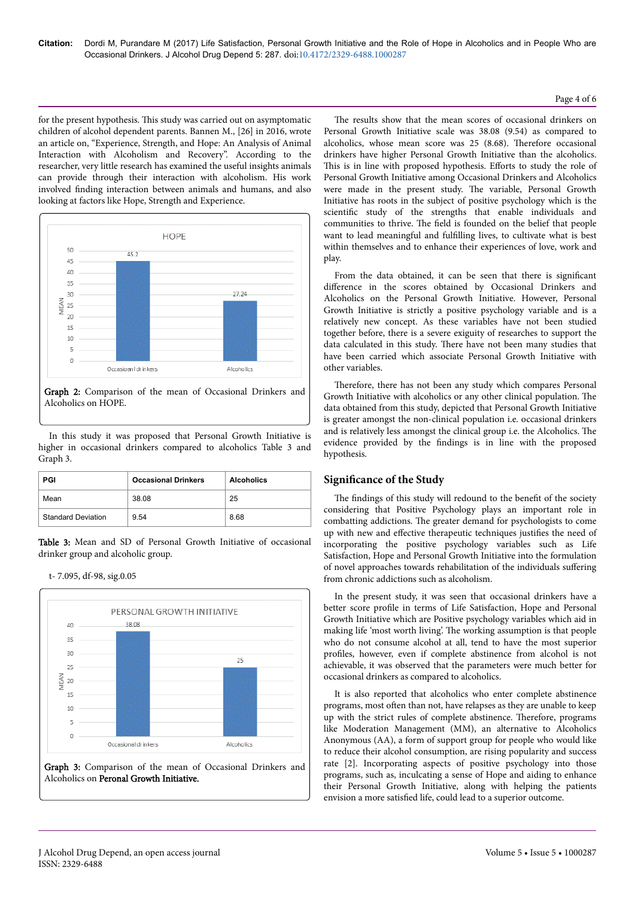## Page 4 of 6

for the present hypothesis. Нis study was carried out on asymptomatic children of alcohol dependent parents. Bannen M., [26] in 2016, wrote an article on, "Experience, Strength, and Hope: An Analysis of Animal Interaction with Alcoholism and Recovery". According to the researcher, very little research has examined the useful insights animals can provide through their interaction with alcoholism. His work involved finding interaction between animals and humans, and also looking at factors like Hope, Strength and Experience.



Graph 2: Comparison of the mean of Occasional Drinkers and Alcoholics on HOPE.

In this study it was proposed that Personal Growth Initiative is higher in occasional drinkers compared to alcoholics Table 3 and Graph 3.

| PGI                       | <b>Occasional Drinkers</b> | <b>Alcoholics</b> |
|---------------------------|----------------------------|-------------------|
| Mean                      | 38.08                      | 25                |
| <b>Standard Deviation</b> | 9.54                       | 8.68              |

Table 3: Mean and SD of Personal Growth Initiative of occasional drinker group and alcoholic group.

t- 7.095, df-98, sig.0.05



Graph 3: Comparison of the mean of Occasional Drinkers and Alcoholics on Peronal Growth Initiative.

The results show that the mean scores of occasional drinkers on Personal Growth Initiative scale was 38.08 (9.54) as compared to alcoholics, whose mean score was 25 (8.68). Нerefore occasional drinkers have higher Personal Growth Initiative than the alcoholics. This is in line with proposed hypothesis. Efforts to study the role of Personal Growth Initiative among Occasional Drinkers and Alcoholics were made in the present study. Нe variable, Personal Growth Initiative has roots in the subject of positive psychology which is the scientific study of the strengths that enable individuals and communities to thrive. Нe field is founded on the belief that people want to lead meaningful and fulfilling lives, to cultivate what is best within themselves and to enhance their experiences of love, work and play.

From the data obtained, it can be seen that there is significant difference in the scores obtained by Occasional Drinkers and Alcoholics on the Personal Growth Initiative. However, Personal Growth Initiative is strictly a positive psychology variable and is a relatively new concept. As these variables have not been studied together before, there is a severe exiguity of researches to support the data calculated in this study. Нere have not been many studies that have been carried which associate Personal Growth Initiative with other variables.

Therefore, there has not been any study which compares Personal Growth Initiative with alcoholics or any other clinical population. Нe data obtained from this study, depicted that Personal Growth Initiative is greater amongst the non-clinical population i.e. occasional drinkers and is relatively less amongst the clinical group i.e. the Alcoholics. Нe evidence provided by the findings is in line with the proposed hypothesis.

# **Significance of the Study**

The findings of this study will redound to the benefit of the society considering that Positive Psychology plays an important role in combatting addictions. Нe greater demand for psychologists to come up with new and effective therapeutic techniques justifies the need of incorporating the positive psychology variables such as Life Satisfaction, Hope and Personal Growth Initiative into the formulation of novel approaches towards rehabilitation of the individuals suffering from chronic addictions such as alcoholism.

In the present study, it was seen that occasional drinkers have a better score profile in terms of Life Satisfaction, Hope and Personal Growth Initiative which are Positive psychology variables which aid in making life 'most worth living'. Нe working assumption is that people who do not consume alcohol at all, tend to have the most superior profiles, however, even if complete abstinence from alcohol is not achievable, it was observed that the parameters were much better for occasional drinkers as compared to alcoholics.

It is also reported that alcoholics who enter complete abstinence programs, most often than not, have relapses as they are unable to keep up with the strict rules of complete abstinence. Нerefore, programs like Moderation Management (MM), an alternative to Alcoholics Anonymous (AA), a form of support group for people who would like to reduce their alcohol consumption, are rising popularity and success rate [2]. Incorporating aspects of positive psychology into those programs, such as, inculcating a sense of Hope and aiding to enhance their Personal Growth Initiative, along with helping the patients envision a more satisfied life, could lead to a superior outcome.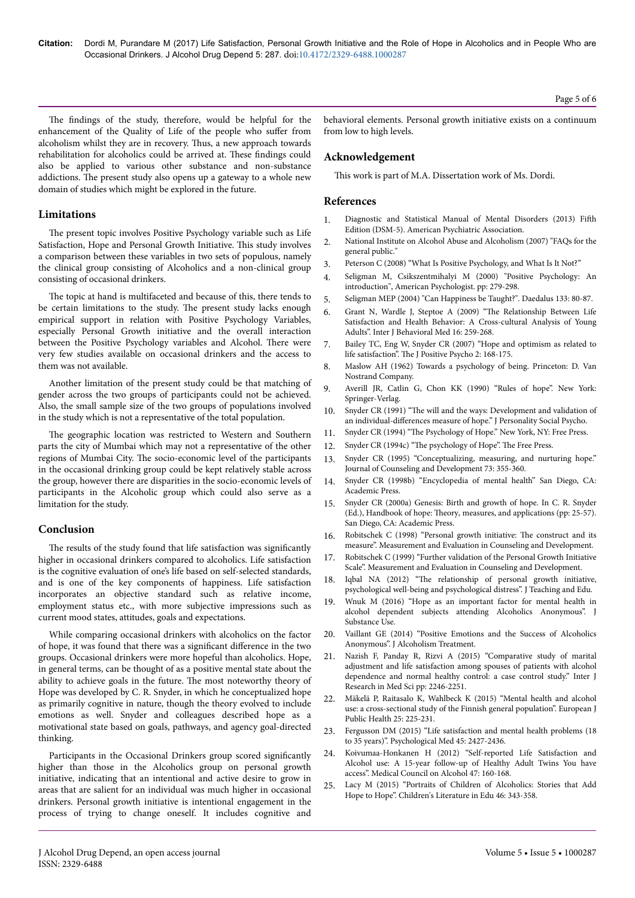The findings of the study, therefore, would be helpful for the enhancement of the Quality of Life of the people who suffer from alcoholism whilst they are in recovery. Нus, a new approach towards rehabilitation for alcoholics could be arrived at. Нese findings could also be applied to various other substance and non-substance addictions. Нe present study also opens up a gateway to a whole new domain of studies which might be explored in the future.

## **Limitations**

The present topic involves Positive Psychology variable such as Life Satisfaction, Hope and Personal Growth Initiative. Нis study involves a comparison between these variables in two sets of populous, namely the clinical group consisting of Alcoholics and a non-clinical group consisting of occasional drinkers.

The topic at hand is multifaceted and because of this, there tends to be certain limitations to the study. The present study lacks enough empirical support in relation with Positive Psychology Variables, especially Personal Growth initiative and the overall interaction between the Positive Psychology variables and Alcohol. Нere were very few studies available on occasional drinkers and the access to them was not available.

Another limitation of the present study could be that matching of gender across the two groups of participants could not be achieved. Also, the small sample size of the two groups of populations involved in the study which is not a representative of the total population.

The geographic location was restricted to Western and Southern parts the city of Mumbai which may not a representative of the other regions of Mumbai City. Нe socio-economic level of the participants in the occasional drinking group could be kept relatively stable across the group, however there are disparities in the socio-economic levels of participants in the Alcoholic group which could also serve as a limitation for the study.

# **Conclusion**

The results of the study found that life satisfaction was significantly higher in occasional drinkers compared to alcoholics. Life satisfaction is the cognitive evaluation of one's life based on self-selected standards, and is one of the key components of happiness. Life satisfaction incorporates an objective standard such as relative income, employment status etc., with more subjective impressions such as current mood states, attitudes, goals and expectations.

While comparing occasional drinkers with alcoholics on the factor of hope, it was found that there was a significant difference in the two groups. Occasional drinkers were more hopeful than alcoholics. Hope, in general terms, can be thought of as a positive mental state about the ability to achieve goals in the future. Нe most noteworthy theory of Hope was developed by C. R. Snyder, in which he conceptualized hope as primarily cognitive in nature, though the theory evolved to include emotions as well. Snyder and colleagues described hope as a motivational state based on goals, pathways, and agency goal-directed thinking.

Participants in the Occasional Drinkers group scored significantly higher than those in the Alcoholics group on personal growth initiative, indicating that an intentional and active desire to grow in areas that are salient for an individual was much higher in occasional drinkers. Personal growth initiative is intentional engagement in the process of trying to change oneself. It includes cognitive and

behavioral elements. Personal growth initiative exists on a continuum from low to high levels.

# **Acknowledgement**

This work is part of M.A. Dissertation work of Ms. Dordi.

#### **References**

- 1. Diagnostic and Statistical Manual of Mental Disorders (2013) Fifth Edition (DSM-5). American Psychiatric Association.
- 2. National Institute on Alcohol Abuse and Alcoholism (2007) "FAQs for the general public."
- 3. Peterson C (2008) "What Is Positive Psychology, and What Is It Not?"
- 4. [Seligman M, Csikszentmihalyi M \(2000\) "Positive Psychology: An](https://doi.org/10.1007/978-94-017-9088-8_18) [introduction", American Psychologist. pp: 279-298.](https://doi.org/10.1007/978-94-017-9088-8_18)
- 5. [Seligman MEP \(2004\) "Can Happiness be Taught?". Daedalus 133: 80-87.](https://doi.org/10.1162/001152604323049424)
- 6. [Grant N, Wardle J, Steptoe A \(2009\)](https://doi.org/10.1007/s12529-009-9032-x) "The Relationship Between Life [Satisfaction and Health Behavior: A Cross-cultural Analysis of Young](https://doi.org/10.1007/s12529-009-9032-x) [Adults". Inter J Behavioral Med 16: 259-268.](https://doi.org/10.1007/s12529-009-9032-x)
- 7. [Bailey TC, Eng W, Snyder CR \(2007\) "Hope and optimism as related to](https://doi.org/10.1080/17439760701409546) life satisfaction". Нe [J Positive Psycho 2: 168-175.](https://doi.org/10.1080/17439760701409546)
- 8. Maslow AH (1962) Towards a psychology of being. Princeton: D. Van Nostrand Company.
- 9. [Averill JR, Catlin G, Chon KK \(1990\) "Rules of hope". New York:](https://doi.org/10.1007/978-1-4613-9674-1) [Springer-Verlag.](https://doi.org/10.1007/978-1-4613-9674-1)
- 10. Snyder CR (1991) "The will and the ways: Development and validation of an individual-differences measure of hope." J Personality Social Psycho.
- 11. Snyder CR (1994) "The Psychology of Hope." New York, NY: Free Press.
- 12. Snyder CR (1994c) "The psychology of Hope". The Free Press.
- 13. [Snyder CR \(1995\) "Conceptualizing, measuring, and nurturing hope."](https://doi.org/10.1002/j.1556-6676.1995.tb01764.x) [Journal of Counseling and Development 73: 355-360.](https://doi.org/10.1002/j.1556-6676.1995.tb01764.x)
- 14. Snyder CR (1998b) "Encyclopedia of mental health" San Diego, CA: Academic Press.
- 15. Snyder CR (2000a) Genesis: Birth and growth of hope. In C. R. Snyder (Ed.), Handbook of hope: Нeor\, measures, and applications (pp: 25-57). San Diego, CA: Academic Press.
- 16. Robitschek C (1998) "Personal growth initiative: Нe construct and its measure". Measurement and Evaluation in Counseling and Development.
- 17. Robitschek C (1999) "Further validation of the Personal Growth Initiative Scale". Measurement and Evaluation in Counseling and Development.
- 18. Iqbal NA (2012) "The relationship of personal growth initiative, psychological well-being and psychological distress". J Teaching and Edu.
- 19. [Wnuk M \(2016\) "Hope as an important factor for mental health in](https://doi.org/10.1080/14659891.2016.1177612) [alcohol dependent subjects attending Alcoholics Anonymous". J](https://doi.org/10.1080/14659891.2016.1177612) [Substance Use.](https://doi.org/10.1080/14659891.2016.1177612)
- 20. [Vaillant GE \(2014\) "Positive Emotions and the Success of Alcoholics](https://doi.org/10.1080/07347324.2014.907032) [Anonymous". J Alcoholism Treatment.](https://doi.org/10.1080/07347324.2014.907032)
- 21. [Nazish F, Panday R, Rizvi A \(2015\) "Comparative study of marital](https://doi.org/10.18203/2320-6012.ijrms20150611) [adjustment and life satisfaction among spouses of patients with alcohol](https://doi.org/10.18203/2320-6012.ijrms20150611) [dependence and normal healthy control: a case control study." Inter J](https://doi.org/10.18203/2320-6012.ijrms20150611) [Research in Med Sci pp: 2246-2251.](https://doi.org/10.18203/2320-6012.ijrms20150611)
- 22. [Mäkelä P, Raitasalo K, Wahlbeck K \(2015\) "Mental health and alcohol](https://doi.org/10.1093/eurpub/cku133) [use: a cross-sectional study of the Finnish general population". European J](https://doi.org/10.1093/eurpub/cku133) [Public Health 25: 225-231.](https://doi.org/10.1093/eurpub/cku133)
- 23. [Fergusson DM \(2015\) "Life satisfaction and mental health problems \(18](https://doi.org/10.1017/s0033291715000422) [to 35 years\)". Psychological Med 45: 2427-2436.](https://doi.org/10.1017/s0033291715000422)
- 24. [Koivumaa-Honkanen H \(2012\) "Self-reported Life Satisfaction and](https://doi.org/10.1093/alcalc/agr151) [Alcohol use: A 15-year follow-up of Healthy Adult Twins You have](https://doi.org/10.1093/alcalc/agr151) [access". Medical Council on Alcohol 47: 160-168.](https://doi.org/10.1093/alcalc/agr151)
- 25. [Lacy M \(2015\) "Portraits of Children of Alcoholics: Stories that Add](https://doi.org/10.1007/s10583-015-9262-2) [Hope to Hope". Children's Literature in Edu 46: 343-358.](https://doi.org/10.1007/s10583-015-9262-2)